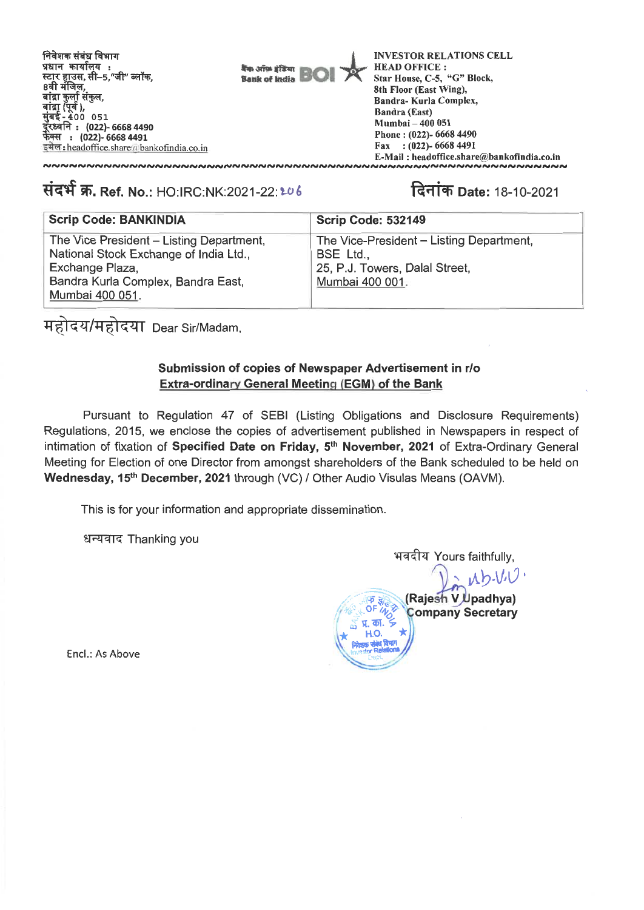

# संदर्भ क्र. Ref. No.: HO:IRC:NK:2021-22: 206 1211 14 2021

| <b>Scrip Code: BANKINDIA</b>             | <b>Scrip Code: 532149</b>                |
|------------------------------------------|------------------------------------------|
| The Vice President - Listing Department, | The Vice-President - Listing Department, |
| National Stock Exchange of India Ltd.,   | BSE Ltd.,                                |
| Exchange Plaza,                          | 25, P.J. Towers, Dalal Street,           |
| Bandra Kurla Complex, Bandra East,       | Mumbai 400 001.                          |
| Mumbai 400 051.                          |                                          |

महोदय/महोदया Dear Sir/Madam,

### **Submission of copies of Newspaper Advertisement in r/o Extra-ordinary General Meeting (EGM) of the Bank**

Pursuant to Regulation 47 of SEBI (Listing Obligations and Disclosure Requirements) Regulations, 2015, we enclose the copies of advertisement published in Newspapers in respect of intimation of fixation of **Specified Date on Friday, 5th November, 2021** of Extra-Ordinary General Meeting for Election of one Director from amongst shareholders of the Bank scheduled to be held on **Wednesday, 15th December, 2021** through (VC) / Other Audio Visulas Means (OAVM).

This is for your information and appropriate dissemination.

धन्यवाद Thanking you

भवदीय Yours faithfully,  $a \Delta b. V. V.$ **(Rajesh V Upadhya) \_OF /4" Company Secretary**  <u>प्र. का.</u> **\* H.O. Tor Relations** 

**Encl.: As Above**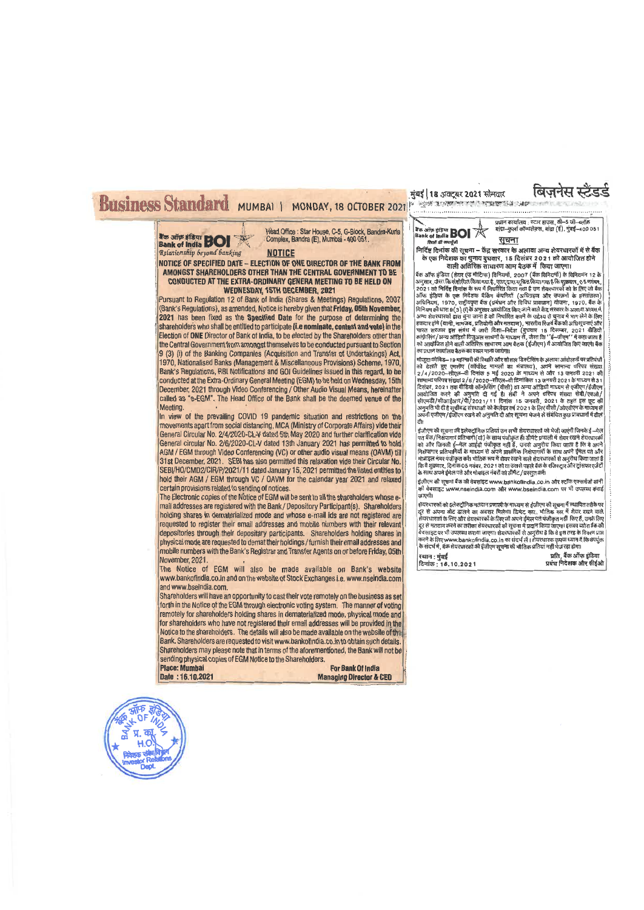#### Head Office : Star House, C-5, G-Block, Bandra-Kurla<br>Complex, Bandra (E), Mumbai - 400 051. **Bank of India BOI** Vatirmship beyond banking **NOTICE NOTICE OF SPECIFIED DATE - ELECTION OF ONE DIRECTOR OF THE BANK FROM AMONGST SHAREHOLDERS OTHER THAN THE CENTRAL GOVERNMENT TO BE CONDUCTED AT THE EXTRA-ORDINARY GENERA MEETING TO BE HELD ON WEDNESDAY, 15TH DECEMBER, 2021**  Pursuant to Regulation 12 of Bank of India (Shares & Meetings) Regulations, 2007 (Bank's Regulations), as amended, Notice is hereby given that **Friday, 05th November, 2021** has been fixed as the **Specified Date** for the purpose of determining the shareholder's who shall be entitled to participate **(i.e nominate, contest and vote)** in the Election of **ONE** Director of Bank of India, to be elected by the Shareholders other than the Central Government from amongst themselves to be conducted pursuant to Section 9 (3) (i) of the Banking Companies (Acquisition and Transfer of Undertakings) Act 1970, Nationalised Banks (Management & Miscellaneous Provisions) Scheme, 1970, Bank's Regulations, RBI Notifications and 001 Guidelines issued in this regard, to **be**  conducted at the Extra-Ordinary General Meeting (EGM) to be held on Wednesday, 15th December, 2021 through Video Conferencing / Other Audio Visual Means, hereinafter called as 'e-EGM". The Head Office of the Bank shall be the deemed venue **of** the Meeting. In view of the prevailing COVID 19 pandemic situation and restrictions on the movements apart from social distancing, MCA (Ministry of Corporate Affairs) vide their General Circular No. 2/4/2020-CL-V dated 5th May 2020 and further clarification vide General circular No. 2/6/2020-CL-V dated 13th January 2021 has permitted to hold AGM / EGM through Video Conferencing (VC) or other audio visual means (OAVM) till 31st December, 2021. SEBI has also permitted this relaxation vide their Circular No. SEBVHO/CMD2/CIR/P/2021/11 dated January 15,2021 permitted the listed entities to hold their AGM / EGM through VC / OAVM for the calendar year 2021 and relaxed certain provisions related to sending of notices. The Electronic copies of the Notice of EGM will be sent to all the shareholders whose email addresses are registered with the Bank/ Depository Participant(s). Shareholders holding shares in dematerialized mode and whose e-mail ids are not registered are requested to register their email addresses and mobile numbers with their relevant depositories through their depositary participants. Shareholders holding shares in physical mode are requested to demat their holdings/furnish their email addresses and mobile numbers with the Bank's Registrar and Transfer Agents on or before Friday, 05th November, 2021. **Property of Sun BOI** *Redisor* **and the Sun of Strategy of the Sun of Strategy of the Sun of Strategy of the Sun of Strategy of the Sun of Strategy of the Sun of Strategy of the Sun of Strategy of the Sun of the Sun of th जा**ण्यी।

The Notice of EGM will also be made available on Bank's website www.bankofindia.co.inand on the website of Stock Exchanges i.e. www.nseindia.com and www.bseindia.com.

Shareholders will have an opportunity to casttheir vote remotely on the business as set forth in the Notice of the EGM through electronic voting system. The manner of voting remotely for shareholders holding shares in dematerialized mode, physical mode and **for** shareholders who have not registered their email addiesses will be provided in the Notice to the shareholders. The details will also be made available on the website of the Bank. Shareholders are requested to visit www.bankofindia.co.in to obtain such details Shareholders may please note that in terms of the aforementioned, the Bank will not be sending physical copies of EGM Notice to the Shareholders.<br>Place: Mumhai

**Place: Mumbai For Bank Of India Place: Mumbai For Bank Of India <br>
Date : 16.10.2021 Managing Director & Managing Director & CEO** 



\* ।<br>अक्षा अपने कार्यालय: स्टार हाउस, सी−5 जी–स्लॉक<br>अक्षा अपने कार्या-कुर्ला कॉम्पलेक्स, बांद्रा (ई), मुंबई–400 051

f41R-ti q, It TRETRT - tfig \*1166i t 3raTETT 3TRT 9141%41.(9 -4.t' ,1 T171'4E5 के एक निदेशक का चुनाय **युधवार, 15 दिसंबर 2021 को आयोजित होने**<br>- वाली अतिरिक्त साधारण आम बैठक में किया जाएगा।

यैंक ऑफ इंडिया (शेगर एंड मीटिंग्स) विनियमों, 2007 (बैंक विनियमों) के विनियमन 12 के<br>अनुसार, जैसा कि संशोधित किया गया है, एतद् द्वारा शूबित किया गया है कि शुक्रवार, 9.5 नवंबर,<br>अनुसार, जैसा कि संशोधित किया गया है, एतद् द्वा का प्रधान कार्यालय बैठक का स्थल माना जायेगा।<br>माजदा कोविड— 19 महाभारी की स्थिति और सोशल डिस्टॅसिंग के अलावा आंदोलनों पर प्रतिबंधों

मंजूदा जांवड—19 महामंथा का स्थात आए सांशल (इस्टांसगर अलावा आदारतना पर प्रातरूप<br>को देखते हुए एमसीए (कॉर्पीसेट मामलों का मंत्रालय), अपने 'सामान्य परिपत्र संख्या<br>2/4/2020–सीएल–वी दिनांक 5 मई 2020 के माध्यम से और 13 जनवरी 202 सामान्य परिपत्र संख्या 2/6/2020–सीएल–नी दिनांकित 13 जनवरी 2021 के माध्यम से 31<br>दिसंबर, 2021 तक बौडियो कॉन्फ्रेंसिंग (वीसी) या अन्य ऑडियो नाध्यम से एजीएन /ईजीएम<br>आयोजित करने की अनुमति दी गई है। सेबी ने अपने अंदिय नांस्य संख

ईजीएम की सूचना की इलेक्ट्रॉनिक प्रतियां उन सभी शेयरधारकों को भेजी जाएंगी जिनके ई $\rightarrow$ ने ईजीएम की सूचना की इलेक्ट्रॉनिक प्रतियां उन सभी शेयरधारकों को भेजी जाएंगी जिनके ई—मेल<br>पत घँक/निक्षपागार प्रतिभागी(याँ) के साथ पंजीकृत ही डीमैंटे प्रणाली में शेयर रखने शेयरधारकों<br>निवेधपागर प्रतिभागियों के माध्यम से अपने प्र teiagr4849a\*-vR141i,444il\*ter - -dism7mt

 $\frac{1}{6}$ जीएम की सूचना बैंक की वेबसाइट www.bankolindia.co.in और स्टॉक एक्सचेंजों यानी wand an igain and an and an ingle www.bankomiola.com on com on the wall of the wall of the wall of the wall of t<br>की वेबसाइट www.nseindia.com और www.bseindia.com पर भी उपलब्ध कराई

.<br>शेयरधारकों को इलेक्ट्रॉनिक मतदान प्रणाली के माध्यम से ईजीएम की सूचना में स्थापित तरीके पर दूर से अपना वोट डॉलने का अबसर मिलेगा। डिमेट रूप, भौतिक रूप में तैयर रखने वाले<br>शेयरपारकों के लिए और शेयरपारकों के लिए जो अपने ईमैल पत्रे पंजीकृत नहीं किए हैं, उनके लिए<br>दूर से मतदान करने का तरीका शेयरपारकों को स

7144 : tat IA, tra zrm of -1i4,: **16.10.2021** fraiw Ityrew atri tilt\*